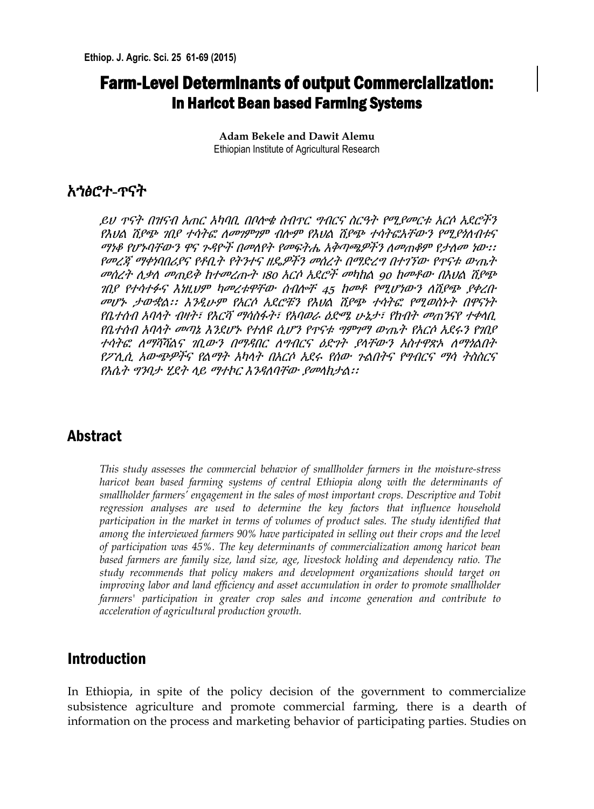# **Farm-Level Determinants of output Commercialization:** In Haricot Bean based Farming Systems

**Adam Bekele and Dawit Alemu** Ethiopian Institute of Agricultural Research

# አኀፅሮተ-ጥናት

ይህ ጥናት በዝናብ አጠር አካባቢ በቦሎቁ ስብጥር ግብርና ስርዓት የሚያመርቱ አርሶ አደሮችን የእህል ሽያጭ ገበያ ተሳትፎ ለመገምገም ብሎም የእህል ሽያጭ ተሳትፎአቸውን የሚያነለብቱና ማነቆ የሆኑባቸውን ዋና ጉዳዮች በመለየት የመፍትሔ አቅጣጫዎችን ለመጠቆም የታለመ ነው፡፡ የመረጃ ማቀነባበሪያና የቶቢት የትንተና ዘዴዎችን መሰረት በማድረግ በተገኘው የጥናቱ ውጤት መሰረት ሲቃለ መጠይቅ ከተመረጡት 180 አርሶ አደሮች መካከል 90 ከመቶው በእህል ሽያጭ ገበያ የተሳተፉና እነዚህም ካመረቱዋቸው ሰብሎቸ 45 ከመቶ የሚሆነውን ሇሽያጭ ያቀረቡ መሆኑ ታውቋል፡፡ እንዲሁም የአርሶ አደሮቹን የእህል ሽያጭ ተሳትፎ የሚወስኑት በዋናነት የቤተሰብ አባላት ብዛት፣ የእርሻ ማሳስፋት፣ የአባወራ ዕድሜ ሁኔታ፣ የከብት መጠንናየ ተቀላቢ የቤተሰብ አባላት መጣኔ እንደሆኑ የተለዩ ሲሆን የጥናቱ ግምገማ ውጤት የአርሶ ኢደሩን የገቢያ ተሳትፎ ለማሻሻልና ገቢውን በማዳበር ለማብርና ዕድንት ያላቸውን አስተዋጽኦ ለማነልበት የፖሊሲ አውጭዎችና የልማት አካላት በአርሶ ኢደሩ የሰው ጉልበትና የግብርና ማሳ ትስስርና የእሴት ግንባታ ሂደት ላይ ማተኮር እንዳለባቸው ያመላክታል፡፡

# Abstract

*This study assesses the commercial behavior of smallholder farmers in the moisture-stress haricot bean based farming systems of central Ethiopia along with the determinants of smallholder farmers' engagement in the sales of most important crops. Descriptive and Tobit regression analyses are used to determine the key factors that influence household participation in the market in terms of volumes of product sales. The study identified that among the interviewed farmers 90% have participated in selling out their crops and the level of participation was 45%. The key determinants of commercialization among haricot bean based farmers are family size, land size, age, livestock holding and dependency ratio. The study recommends that policy makers and development organizations should target on improving labor and land efficiency and asset accumulation in order to promote smallholder farmers' participation in greater crop sales and income generation and contribute to acceleration of agricultural production growth.* 

## Introduction

In Ethiopia, in spite of the policy decision of the government to commercialize subsistence agriculture and promote commercial farming, there is a dearth of information on the process and marketing behavior of participating parties. Studies on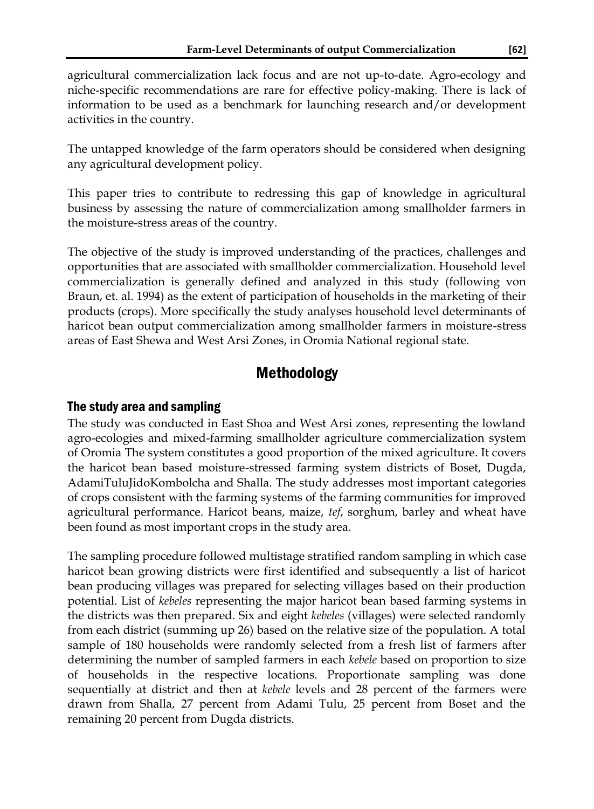agricultural commercialization lack focus and are not up-to-date. Agro-ecology and niche-specific recommendations are rare for effective policy-making. There is lack of information to be used as a benchmark for launching research and/or development activities in the country.

The untapped knowledge of the farm operators should be considered when designing any agricultural development policy.

This paper tries to contribute to redressing this gap of knowledge in agricultural business by assessing the nature of commercialization among smallholder farmers in the moisture-stress areas of the country.

The objective of the study is improved understanding of the practices, challenges and opportunities that are associated with smallholder commercialization. Household level commercialization is generally defined and analyzed in this study (following von Braun, et. al. 1994) as the extent of participation of households in the marketing of their products (crops). More specifically the study analyses household level determinants of haricot bean output commercialization among smallholder farmers in moisture-stress areas of East Shewa and West Arsi Zones, in Oromia National regional state.

# Methodology

#### The study area and sampling

The study was conducted in East Shoa and West Arsi zones, representing the lowland agro-ecologies and mixed-farming smallholder agriculture commercialization system of Oromia The system constitutes a good proportion of the mixed agriculture. It covers the haricot bean based moisture-stressed farming system districts of Boset, Dugda, AdamiTuluJidoKombolcha and Shalla. The study addresses most important categories of crops consistent with the farming systems of the farming communities for improved agricultural performance. Haricot beans, maize, *tef*, sorghum, barley and wheat have been found as most important crops in the study area.

The sampling procedure followed multistage stratified random sampling in which case haricot bean growing districts were first identified and subsequently a list of haricot bean producing villages was prepared for selecting villages based on their production potential. List of *kebeles* representing the major haricot bean based farming systems in the districts was then prepared. Six and eight *kebeles* (villages) were selected randomly from each district (summing up 26) based on the relative size of the population. A total sample of 180 households were randomly selected from a fresh list of farmers after determining the number of sampled farmers in each *kebele* based on proportion to size of households in the respective locations. Proportionate sampling was done sequentially at district and then at *kebele* levels and 28 percent of the farmers were drawn from Shalla, 27 percent from Adami Tulu, 25 percent from Boset and the remaining 20 percent from Dugda districts.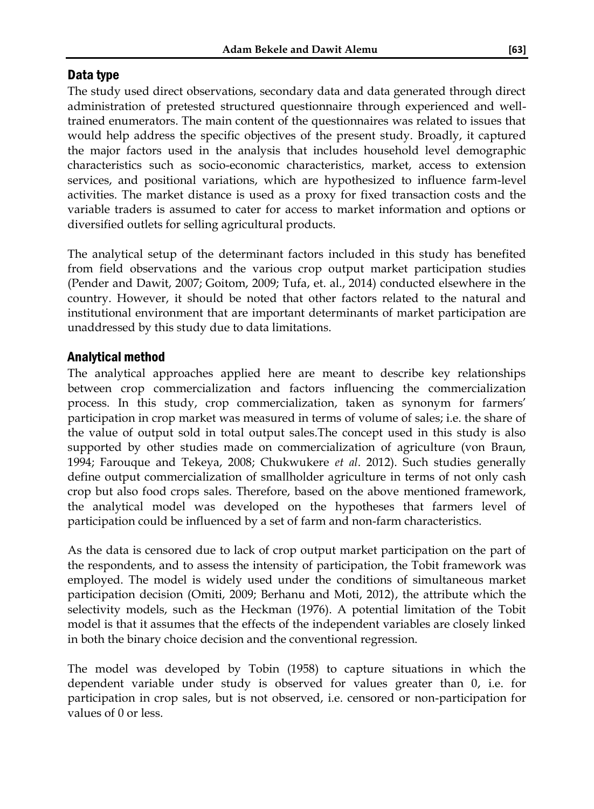## Data type

The study used direct observations, secondary data and data generated through direct administration of pretested structured questionnaire through experienced and welltrained enumerators. The main content of the questionnaires was related to issues that would help address the specific objectives of the present study. Broadly, it captured the major factors used in the analysis that includes household level demographic characteristics such as socio-economic characteristics, market, access to extension services, and positional variations, which are hypothesized to influence farm-level activities. The market distance is used as a proxy for fixed transaction costs and the variable traders is assumed to cater for access to market information and options or diversified outlets for selling agricultural products.

The analytical setup of the determinant factors included in this study has benefited from field observations and the various crop output market participation studies (Pender and Dawit, 2007; Goitom, 2009; Tufa, et. al., 2014) conducted elsewhere in the country. However, it should be noted that other factors related to the natural and institutional environment that are important determinants of market participation are unaddressed by this study due to data limitations.

## Analytical method

The analytical approaches applied here are meant to describe key relationships between crop commercialization and factors influencing the commercialization process. In this study, crop commercialization, taken as synonym for farmers' participation in crop market was measured in terms of volume of sales; i.e. the share of the value of output sold in total output sales.The concept used in this study is also supported by other studies made on commercialization of agriculture (von Braun, 1994; Farouque and Tekeya, 2008; Chukwukere *et al*. 2012). Such studies generally define output commercialization of smallholder agriculture in terms of not only cash crop but also food crops sales. Therefore, based on the above mentioned framework, the analytical model was developed on the hypotheses that farmers level of participation could be influenced by a set of farm and non-farm characteristics.

As the data is censored due to lack of crop output market participation on the part of the respondents, and to assess the intensity of participation, the Tobit framework was employed. The model is widely used under the conditions of simultaneous market participation decision (Omiti, 2009; Berhanu and Moti, 2012), the attribute which the selectivity models, such as the Heckman (1976). A potential limitation of the Tobit model is that it assumes that the effects of the independent variables are closely linked in both the binary choice decision and the conventional regression.

The model was developed by Tobin (1958) to capture situations in which the dependent variable under study is observed for values greater than 0, i.e. for participation in crop sales, but is not observed, i.e. censored or non-participation for values of 0 or less.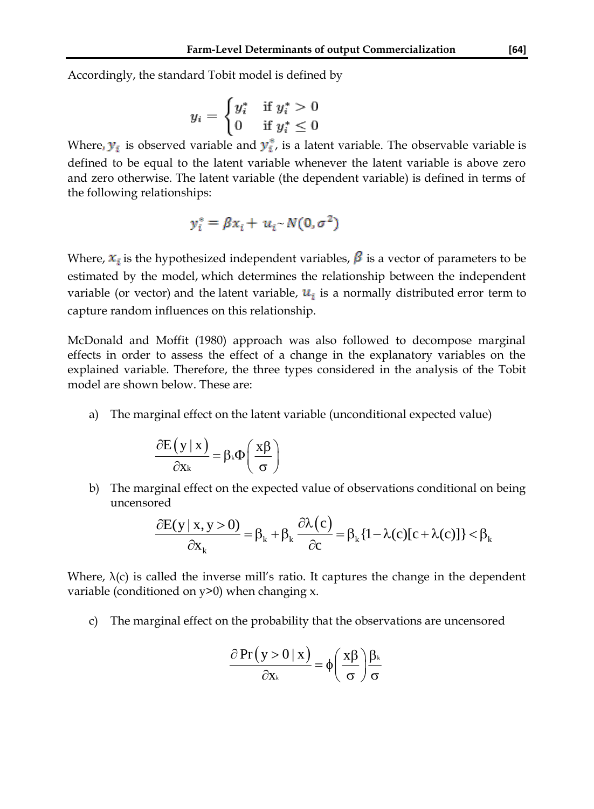Accordingly, the standard Tobit model is defined by

$$
y_i = \begin{cases} y_i^* & \text{if } y_i^* > 0 \\ 0 & \text{if } y_i^* \le 0 \end{cases}
$$

Where,  $y_i$  is observed variable and  $y_i^*$ , is a latent variable. The observable variable is defined to be equal to the latent variable whenever the latent variable is above zero and zero otherwise. The latent variable (the dependent variable) is defined in terms of the following relationships:

$$
y_i^* = \beta x_i + u_i \sim N(0, \sigma^2)
$$

Where,  $x_i$  is the hypothesized independent variables,  $\beta$  is a vector of parameters to be estimated by the model, which determines the relationship between the independent variable (or vector) and the [latent variable,](http://en.wikipedia.org/wiki/Latent_variable)  $u_i$  is a normally distributed [error term](http://en.wikipedia.org/wiki/Errors_and_residuals_in_statistics) to capture random influences on this relationship.

McDonald and Moffit (1980) approach was also followed to decompose marginal effects in order to assess the effect of a change in the explanatory variables on the explained variable. Therefore, the three types considered in the analysis of the Tobit model are shown below. These are:

a) The marginal effect on the latent variable (unconditional expected value)

$$
\frac{\partial E(y \mid x)}{\partial x_k} = \beta_k \Phi\left(\frac{x\beta}{\sigma}\right)
$$

b) The marginal effect on the expected value of observations conditional on being<br>uncensored<br> $\frac{\partial E(y | x, y > 0)}{\partial \theta} = \beta_k + \beta_k \frac{\partial \lambda(c)}{\partial \theta} = \beta_k \{1 - \lambda(c)[c + \lambda(c)]\} < \beta_k$ uncensored

$$
\frac{\partial E(y | x, y > 0)}{\partial x_k} = \beta_k + \beta_k \frac{\partial \lambda(c)}{\partial c} = \beta_k \{1 - \lambda(c)[c + \lambda(c)]\} < \beta_k
$$

Where,  $\lambda(c)$  is called the inverse mill's ratio. It captures the change in the dependent variable (conditioned on y>0) when changing x.

c) The marginal effect on the probability that the observations are uncensored

$$
\frac{\partial Pr(y > 0 | x)}{\partial x_k} = \phi \left(\frac{x \beta}{\sigma}\right) \frac{\beta_k}{\sigma}
$$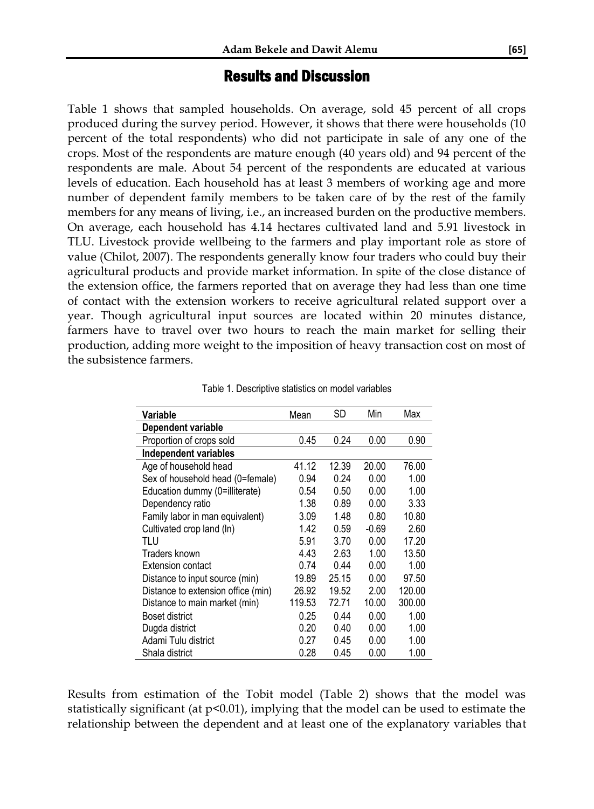### Results and Discussion

Table 1 shows that sampled households. On average, sold 45 percent of all crops produced during the survey period. However, it shows that there were households (10 percent of the total respondents) who did not participate in sale of any one of the crops. Most of the respondents are mature enough (40 years old) and 94 percent of the respondents are male. About 54 percent of the respondents are educated at various levels of education. Each household has at least 3 members of working age and more number of dependent family members to be taken care of by the rest of the family members for any means of living, i.e., an increased burden on the productive members. On average, each household has 4.14 hectares cultivated land and 5.91 livestock in TLU. Livestock provide wellbeing to the farmers and play important role as store of value (Chilot, 2007). The respondents generally know four traders who could buy their agricultural products and provide market information. In spite of the close distance of the extension office, the farmers reported that on average they had less than one time of contact with the extension workers to receive agricultural related support over a year. Though agricultural input sources are located within 20 minutes distance, farmers have to travel over two hours to reach the main market for selling their production, adding more weight to the imposition of heavy transaction cost on most of the subsistence farmers.

| Variable                           | Mean   | SD    | Min     | Max    |
|------------------------------------|--------|-------|---------|--------|
| Dependent variable                 |        |       |         |        |
| Proportion of crops sold           | 0.45   | 0.24  | 0.00    | 0.90   |
| Independent variables              |        |       |         |        |
| Age of household head              | 41.12  | 12.39 | 20.00   | 76.00  |
| Sex of household head (0=female)   | 0.94   | 0.24  | 0.00    | 1.00   |
| Education dummy (0=illiterate)     | 0.54   | 0.50  | 0.00    | 1.00   |
| Dependency ratio                   | 1.38   | 0.89  | 0.00    | 3.33   |
| Family labor in man equivalent)    | 3.09   | 1.48  | 0.80    | 10.80  |
| Cultivated crop land (ln)          | 1.42   | 0.59  | $-0.69$ | 2.60   |
| TLU                                | 5.91   | 3.70  | 0.00    | 17.20  |
| Traders known                      | 4.43   | 2.63  | 1.00    | 13.50  |
| Extension contact                  | 0.74   | 0.44  | 0.00    | 1.00   |
| Distance to input source (min)     | 19.89  | 25.15 | 0.00    | 97.50  |
| Distance to extension office (min) | 26.92  | 19.52 | 2.00    | 120.00 |
| Distance to main market (min)      | 119.53 | 72.71 | 10.00   | 300.00 |
| Boset district                     | 0.25   | 0.44  | 0.00    | 1.00   |
| Dugda district                     | 0.20   | 0.40  | 0.00    | 1.00   |
| Adami Tulu district                | 0.27   | 0.45  | 0.00    | 1.00   |
| Shala district                     | 0.28   | 0.45  | 0.00    | 1.00   |

Table 1. Descriptive statistics on model variables

Results from estimation of the Tobit model (Table 2) shows that the model was statistically significant (at p<0.01), implying that the model can be used to estimate the relationship between the dependent and at least one of the explanatory variables that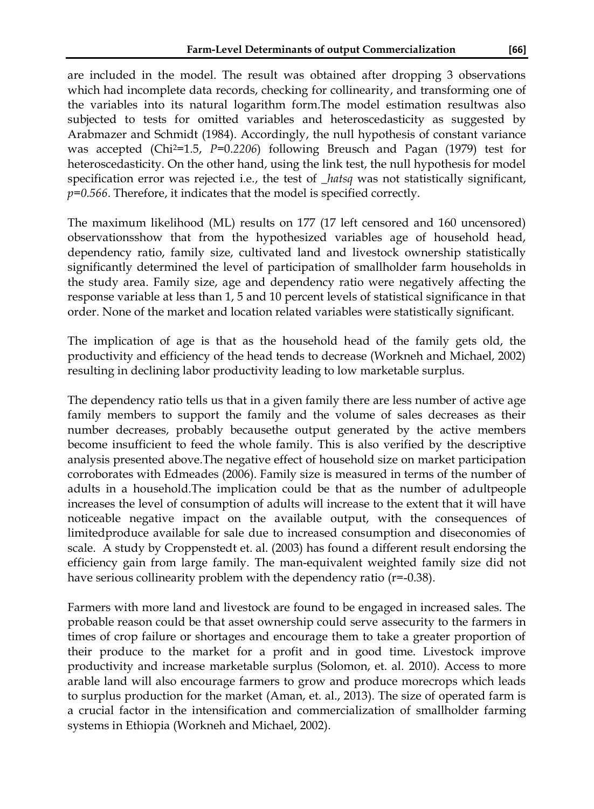are included in the model. The result was obtained after dropping 3 observations which had incomplete data records, checking for collinearity, and transforming one of the variables into its natural logarithm form.The model estimation resultwas also subjected to tests for omitted variables and heteroscedasticity as suggested by Arabmazer and Schmidt (1984). Accordingly, the null hypothesis of constant variance was accepted (Chi2=1.5, *P=*0.*2206*) following Breusch and Pagan (1979) test for heteroscedasticity. On the other hand, using the link test, the null hypothesis for model specification error was rejected i.e., the test of \_*hatsq* was not statistically significant, *p=0.566*. Therefore, it indicates that the model is specified correctly.

The maximum likelihood (ML) results on 177 (17 left censored and 160 uncensored) observationsshow that from the hypothesized variables age of household head, dependency ratio, family size, cultivated land and livestock ownership statistically significantly determined the level of participation of smallholder farm households in the study area. Family size, age and dependency ratio were negatively affecting the response variable at less than 1, 5 and 10 percent levels of statistical significance in that order. None of the market and location related variables were statistically significant.

The implication of age is that as the household head of the family gets old, the productivity and efficiency of the head tends to decrease (Workneh and Michael, 2002) resulting in declining labor productivity leading to low marketable surplus.

The dependency ratio tells us that in a given family there are less number of active age family members to support the family and the volume of sales decreases as their number decreases, probably becausethe output generated by the active members become insufficient to feed the whole family. This is also verified by the descriptive analysis presented above.The negative effect of household size on market participation corroborates with Edmeades (2006). Family size is measured in terms of the number of adults in a household.The implication could be that as the number of adultpeople increases the level of consumption of adults will increase to the extent that it will have noticeable negative impact on the available output, with the consequences of limitedproduce available for sale due to increased consumption and diseconomies of scale. A study by Croppenstedt et. al. (2003) has found a different result endorsing the efficiency gain from large family. The man-equivalent weighted family size did not have serious collinearity problem with the dependency ratio (r=-0.38).

Farmers with more land and livestock are found to be engaged in increased sales. The probable reason could be that asset ownership could serve assecurity to the farmers in times of crop failure or shortages and encourage them to take a greater proportion of their produce to the market for a profit and in good time. Livestock improve productivity and increase marketable surplus (Solomon, et. al. 2010). Access to more arable land will also encourage farmers to grow and produce morecrops which leads to surplus production for the market (Aman, et. al., 2013). The size of operated farm is a crucial factor in the intensification and commercialization of smallholder farming systems in Ethiopia (Workneh and Michael, 2002).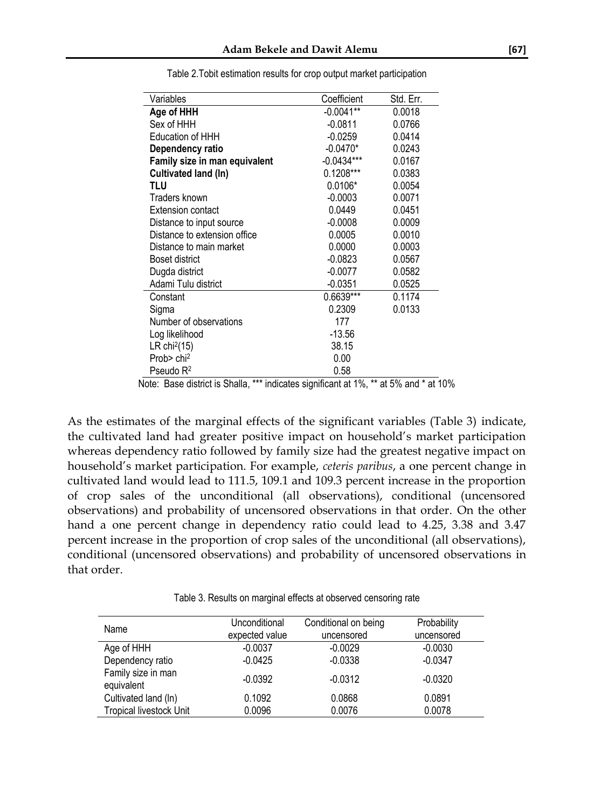| Variables                     | Coefficient  | Std. Err. |
|-------------------------------|--------------|-----------|
| Age of HHH                    | $-0.0041**$  | 0.0018    |
| Sex of HHH                    | $-0.0811$    | 0.0766    |
| <b>Education of HHH</b>       | $-0.0259$    | 0.0414    |
| Dependency ratio              | $-0.0470*$   | 0.0243    |
| Family size in man equivalent | $-0.0434***$ | 0.0167    |
| Cultivated land (In)          | $0.1208***$  | 0.0383    |
| TLU                           | $0.0106*$    | 0.0054    |
| Traders known                 | $-0.0003$    | 0.0071    |
| Extension contact             | 0.0449       | 0.0451    |
| Distance to input source      | $-0.0008$    | 0.0009    |
| Distance to extension office  | 0.0005       | 0.0010    |
| Distance to main market       | 0.0000       | 0.0003    |
| Boset district                | $-0.0823$    | 0.0567    |
| Dugda district                | $-0.0077$    | 0.0582    |
| Adami Tulu district           | $-0.0351$    | 0.0525    |
| Constant                      | 0.6639***    | 0.1174    |
| Sigma                         | 0.2309       | 0.0133    |
| Number of observations        | 177          |           |
| Log likelihood                | $-13.56$     |           |
| LR chi <sup>2</sup> (15)      | 38.15        |           |
| Prob $>$ chi <sup>2</sup>     | 0.00         |           |
| Pseudo R <sup>2</sup>         | 0.58         |           |

Table 2.Tobit estimation results for crop output market participation

As the estimates of the marginal effects of the significant variables (Table 3) indicate, the cultivated land had greater positive impact on household's market participation whereas dependency ratio followed by family size had the greatest negative impact on household's market participation. For example, *ceteris paribus*, a one percent change in cultivated land would lead to 111.5, 109.1 and 109.3 percent increase in the proportion of crop sales of the unconditional (all observations), conditional (uncensored observations) and probability of uncensored observations in that order. On the other hand a one percent change in dependency ratio could lead to 4.25, 3.38 and 3.47 percent increase in the proportion of crop sales of the unconditional (all observations), conditional (uncensored observations) and probability of uncensored observations in that order.

Table 3. Results on marginal effects at observed censoring rate

| Name                             | Unconditional<br>expected value | Conditional on being<br>uncensored | Probability<br>uncensored |
|----------------------------------|---------------------------------|------------------------------------|---------------------------|
| Age of HHH                       | $-0.0037$                       | $-0.0029$                          | $-0.0030$                 |
| Dependency ratio                 | $-0.0425$                       | $-0.0338$                          | $-0.0347$                 |
| Family size in man<br>equivalent | $-0.0392$                       | $-0.0312$                          | $-0.0320$                 |
| Cultivated land (ln)             | 0.1092                          | 0.0868                             | 0.0891                    |
| <b>Tropical livestock Unit</b>   | 0.0096                          | 0.0076                             | 0.0078                    |

Note: Base district is Shalla, \*\*\* indicates significant at 1%, \*\* at 5% and \* at 10%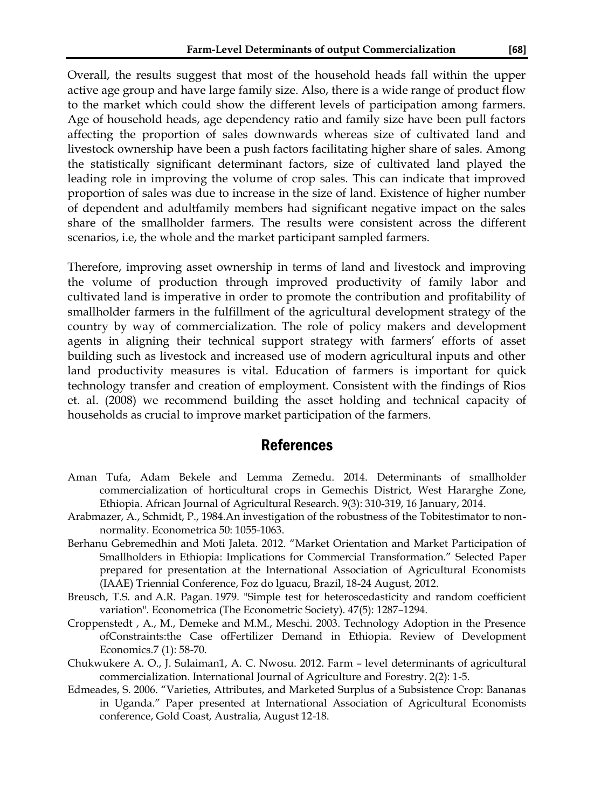Overall, the results suggest that most of the household heads fall within the upper active age group and have large family size. Also, there is a wide range of product flow to the market which could show the different levels of participation among farmers. Age of household heads, age dependency ratio and family size have been pull factors affecting the proportion of sales downwards whereas size of cultivated land and livestock ownership have been a push factors facilitating higher share of sales. Among the statistically significant determinant factors, size of cultivated land played the leading role in improving the volume of crop sales. This can indicate that improved proportion of sales was due to increase in the size of land. Existence of higher number of dependent and adultfamily members had significant negative impact on the sales share of the smallholder farmers. The results were consistent across the different scenarios, i.e, the whole and the market participant sampled farmers.

Therefore, improving asset ownership in terms of land and livestock and improving the volume of production through improved productivity of family labor and cultivated land is imperative in order to promote the contribution and profitability of smallholder farmers in the fulfillment of the agricultural development strategy of the country by way of commercialization. The role of policy makers and development agents in aligning their technical support strategy with farmers' efforts of asset building such as livestock and increased use of modern agricultural inputs and other land productivity measures is vital. Education of farmers is important for quick technology transfer and creation of employment. Consistent with the findings of Rios et. al. (2008) we recommend building the asset holding and technical capacity of households as crucial to improve market participation of the farmers.

#### References

- Aman Tufa, Adam Bekele and Lemma Zemedu. 2014. Determinants of smallholder commercialization of horticultural crops in Gemechis District, West Hararghe Zone, Ethiopia. African Journal of Agricultural Research. 9(3): 310-319, 16 January, 2014.
- Arabmazer, A., Schmidt, P., 1984.An investigation of the robustness of the Tobitestimator to nonnormality. Econometrica 50: 1055-1063.
- Berhanu Gebremedhin and Moti Jaleta. 2012. "Market Orientation and Market Participation of Smallholders in Ethiopia: Implications for Commercial Transformation." Selected Paper prepared for presentation at the International Association of Agricultural Economists (IAAE) Triennial Conference, Foz do lguacu, Brazil, 18-24 August, 2012.
- [Breusch, T.S.](http://en.wikipedia.org/wiki/Trevor_Breusch) and A.R. [Pagan.](http://en.wikipedia.org/wiki/Adrian_Pagan) 1979. "Simple test for heteroscedasticity and random coefficient variation". Econometrica (The Econometric Society). 47(5): 1287–1294.
- Croppenstedt , A., M., Demeke and M.M., Meschi. 2003. Technology Adoption in the Presence ofConstraints:the Case ofFertilizer Demand in Ethiopia. Review of Development Economics.7 (1): 58-70.
- Chukwukere A. O., J. Sulaiman1, A. C. Nwosu. 2012. Farm level determinants of agricultural commercialization. International Journal of Agriculture and Forestry. 2(2): 1-5.
- Edmeades, S. 2006. "Varieties, Attributes, and Marketed Surplus of a Subsistence Crop: Bananas in Uganda." Paper presented at International Association of Agricultural Economists conference, Gold Coast, Australia, August 12-18.